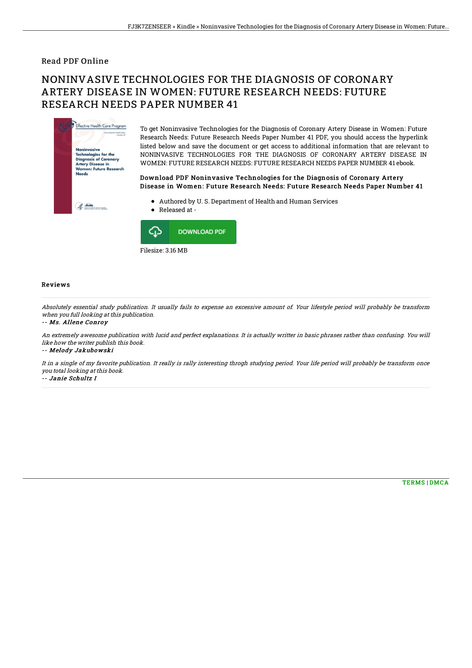## Read PDF Online

# NONINVASIVE TECHNOLOGIES FOR THE DIAGNOSIS OF CORONARY ARTERY DISEASE IN WOMEN: FUTURE RESEARCH NEEDS: FUTURE RESEARCH NEEDS PAPER NUMBER 41



To get Noninvasive Technologies for the Diagnosis of Coronary Artery Disease in Women: Future Research Needs: Future Research Needs Paper Number 41 PDF, you should access the hyperlink listed below and save the document or get access to additional information that are relevant to NONINVASIVE TECHNOLOGIES FOR THE DIAGNOSIS OF CORONARY ARTERY DISEASE IN WOMEN: FUTURE RESEARCH NEEDS: FUTURE RESEARCH NEEDS PAPER NUMBER 41 ebook.

### Download PDF Noninvasive Technologies for the Diagnosis of Coronary Artery Disease in Women: Future Research Needs: Future Research Needs Paper Number 41

- Authored by U. S. Department of Health and Human Services
- Released at -



#### Reviews

Absolutely essential study publication. It usually fails to expense an excessive amount of. Your lifestyle period will probably be transform when you full looking at this publication.

#### -- Ms. Allene Conroy

An extremely awesome publication with lucid and perfect explanations. It is actually writter in basic phrases rather than confusing. You will like how the writer publish this book.

-- Melody Jakubowski

It in <sup>a</sup> single of my favorite publication. It really is rally interesting throgh studying period. Your life period will probably be transform once you total looking at this book.

-- Janie Schultz I